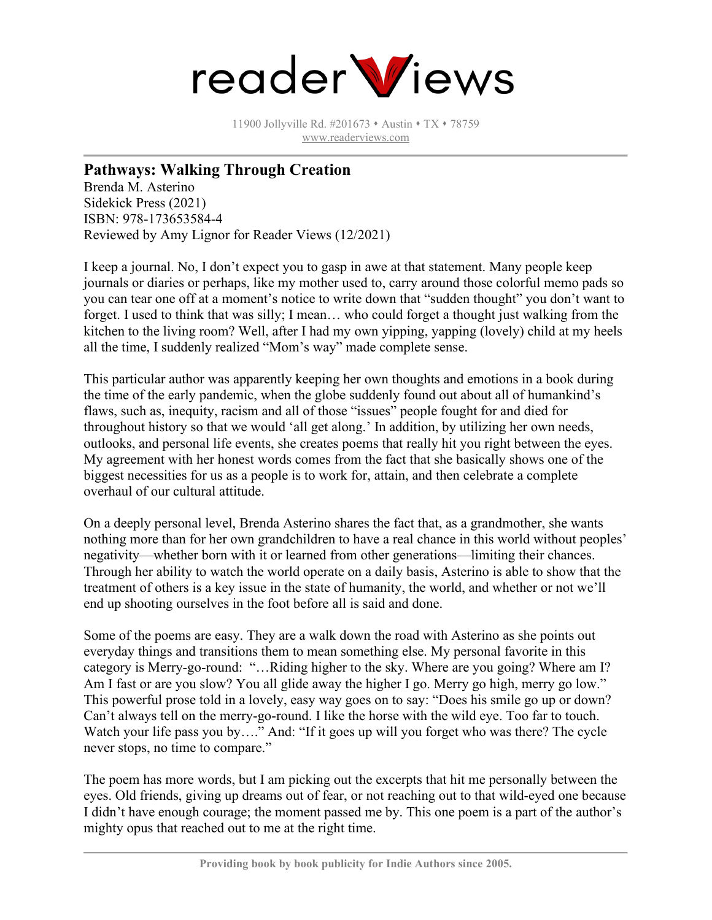

11900 Jollyville Rd. #201673 • Austin • TX • 78759 [www.readerviews.com](http://www.readerviews.com/)

## **Pathways: Walking Through Creation**

Brenda M. Asterino Sidekick Press (2021) ISBN: 978-173653584-4 Reviewed by Amy Lignor for Reader Views (12/2021)

I keep a journal. No, I don't expect you to gasp in awe at that statement. Many people keep journals or diaries or perhaps, like my mother used to, carry around those colorful memo pads so you can tear one off at a moment's notice to write down that "sudden thought" you don't want to forget. I used to think that was silly; I mean… who could forget a thought just walking from the kitchen to the living room? Well, after I had my own yipping, yapping (lovely) child at my heels all the time, I suddenly realized "Mom's way" made complete sense.

This particular author was apparently keeping her own thoughts and emotions in a book during the time of the early pandemic, when the globe suddenly found out about all of humankind's flaws, such as, inequity, racism and all of those "issues" people fought for and died for throughout history so that we would 'all get along.' In addition, by utilizing her own needs, outlooks, and personal life events, she creates poems that really hit you right between the eyes. My agreement with her honest words comes from the fact that she basically shows one of the biggest necessities for us as a people is to work for, attain, and then celebrate a complete overhaul of our cultural attitude.

On a deeply personal level, Brenda Asterino shares the fact that, as a grandmother, she wants nothing more than for her own grandchildren to have a real chance in this world without peoples' negativity—whether born with it or learned from other generations—limiting their chances. Through her ability to watch the world operate on a daily basis, Asterino is able to show that the treatment of others is a key issue in the state of humanity, the world, and whether or not we'll end up shooting ourselves in the foot before all is said and done.

Some of the poems are easy. They are a walk down the road with Asterino as she points out everyday things and transitions them to mean something else. My personal favorite in this category is Merry-go-round: "…Riding higher to the sky. Where are you going? Where am I? Am I fast or are you slow? You all glide away the higher I go. Merry go high, merry go low." This powerful prose told in a lovely, easy way goes on to say: "Does his smile go up or down? Can't always tell on the merry-go-round. I like the horse with the wild eye. Too far to touch. Watch your life pass you by…." And: "If it goes up will you forget who was there? The cycle never stops, no time to compare."

The poem has more words, but I am picking out the excerpts that hit me personally between the eyes. Old friends, giving up dreams out of fear, or not reaching out to that wild-eyed one because I didn't have enough courage; the moment passed me by. This one poem is a part of the author's mighty opus that reached out to me at the right time.